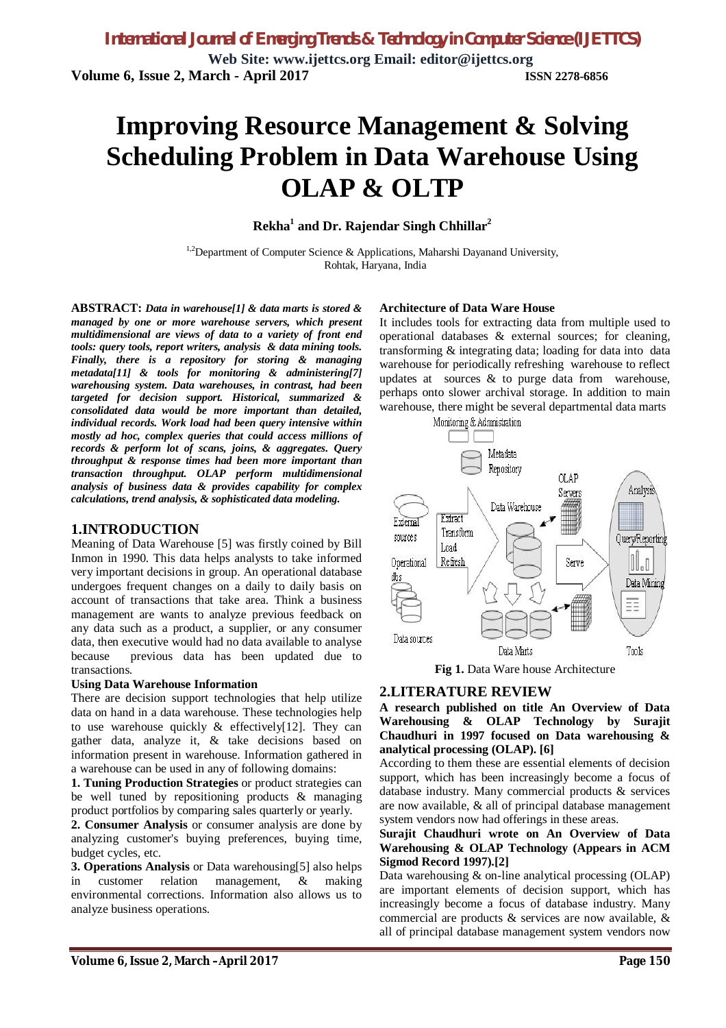# **Improving Resource Management & Solving Scheduling Problem in Data Warehouse Using OLAP & OLTP**

# **Rekha<sup>1</sup> and Dr. Rajendar Singh Chhillar<sup>2</sup>**

 $1.2$ Department of Computer Science & Applications, Maharshi Dayanand University, Rohtak, Haryana, India

**ABSTRACT:** *Data in warehouse[1] & data marts is stored & managed by one or more warehouse servers, which present multidimensional are views of data to a variety of front end tools: query tools, report writers, analysis & data mining tools. Finally, there is a repository for storing & managing metadata[11] & tools for monitoring & administering[7] warehousing system. Data warehouses, in contrast, had been targeted for decision support. Historical, summarized & consolidated data would be more important than detailed, individual records. Work load had been query intensive within mostly ad hoc, complex queries that could access millions of records & perform lot of scans, joins, & aggregates. Query throughput & response times had been more important than transaction throughput. OLAP perform multidimensional analysis of business data & provides capability for complex calculations, trend analysis, & sophisticated data modeling.*

# **1.INTRODUCTION**

Meaning of Data Warehouse [5] was firstly coined by Bill Inmon in 1990. This data helps analysts to take informed very important decisions in group. An operational database undergoes frequent changes on a daily to daily basis on account of transactions that take area. Think a business management are wants to analyze previous feedback on any data such as a product, a supplier, or any consumer data, then executive would had no data available to analyse because previous data has been updated due to transactions.

#### **Using Data Warehouse Information**

There are decision support technologies that help utilize data on hand in a data warehouse. These technologies help to use warehouse quickly  $\&$  effectively[12]. They can gather data, analyze it, & take decisions based on information present in warehouse. Information gathered in a warehouse can be used in any of following domains:

**1. Tuning Production Strategies** or product strategies can be well tuned by repositioning products & managing product portfolios by comparing sales quarterly or yearly.

**2. Consumer Analysis** or consumer analysis are done by analyzing customer's buying preferences, buying time, budget cycles, etc.

**3. Operations Analysis** or Data warehousing[5] also helps in customer relation management, & making environmental corrections. Information also allows us to analyze business operations.

#### **Architecture of Data Ware House**

It includes tools for extracting data from multiple used to operational databases & external sources; for cleaning, transforming & integrating data; loading for data into data warehouse for periodically refreshing warehouse to reflect updates at sources & to purge data from warehouse, perhaps onto slower archival storage. In addition to main warehouse, there might be several departmental data marts



**Fig 1.** Data Ware house Architecture

# **2.LITERATURE REVIEW**

**A research published on title An Overview of Data Warehousing & OLAP Technology by Surajit Chaudhuri in 1997 focused on Data warehousing & analytical processing (OLAP). [6]**

According to them these are essential elements of decision support, which has been increasingly become a focus of database industry. Many commercial products & services are now available, & all of principal database management system vendors now had offerings in these areas.

#### **Surajit Chaudhuri wrote on An Overview of Data Warehousing & OLAP Technology (Appears in ACM Sigmod Record 1997).[2]**

Data warehousing & on-line analytical processing (OLAP) are important elements of decision support, which has increasingly become a focus of database industry. Many commercial are products & services are now available, & all of principal database management system vendors now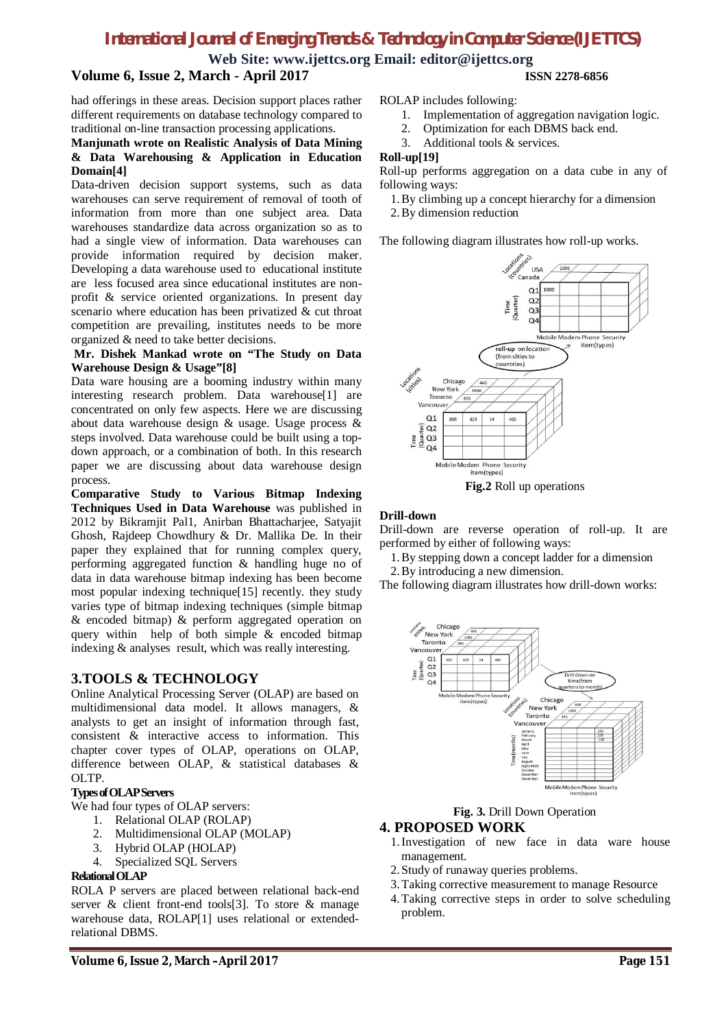# *International Journal of Emerging Trends & Technology in Computer Science (IJETTCS)*

**Web Site: www.ijettcs.org Email: editor@ijettcs.org**

# **Volume 6, Issue 2, March - April 2017 ISSN 2278-6856**

had offerings in these areas. Decision support places rather different requirements on database technology compared to traditional on-line transaction processing applications.

#### **Manjunath wrote on Realistic Analysis of Data Mining & Data Warehousing & Application in Education Domain[4]**

Data-driven decision support systems, such as data warehouses can serve requirement of removal of tooth of information from more than one subject area. Data warehouses standardize data across organization so as to had a single view of information. Data warehouses can provide information required by decision maker. Developing a data warehouse used to educational institute are less focused area since educational institutes are nonprofit & service oriented organizations. In present day scenario where education has been privatized & cut throat competition are prevailing, institutes needs to be more organized & need to take better decisions.

#### **Mr. Dishek Mankad wrote on "The Study on Data Warehouse Design & Usage"[8]**

Data ware housing are a booming industry within many interesting research problem. Data warehouse[1] are concentrated on only few aspects. Here we are discussing about data warehouse design & usage. Usage process & steps involved. Data warehouse could be built using a topdown approach, or a combination of both. In this research paper we are discussing about data warehouse design process.

**Comparative Study to Various Bitmap Indexing Techniques Used in Data Warehouse** was published in 2012 by Bikramjit Pal1, Anirban Bhattacharjee, Satyajit Ghosh, Rajdeep Chowdhury & Dr. Mallika De. In their paper they explained that for running complex query, performing aggregated function & handling huge no of data in data warehouse bitmap indexing has been become most popular indexing technique[15] recently. they study varies type of bitmap indexing techniques (simple bitmap & encoded bitmap) & perform aggregated operation on query within help of both simple & encoded bitmap indexing & analyses result, which was really interesting.

# **3.TOOLS & TECHNOLOGY**

Online Analytical Processing Server (OLAP) are based on multidimensional data model. It allows managers, & analysts to get an insight of information through fast, consistent & interactive access to information. This chapter cover types of OLAP, operations on OLAP, difference between OLAP, & statistical databases & OLTP.

#### **Types of OLAP Servers**

We had four types of OLAP servers:

- 1. Relational OLAP (ROLAP)
- 2. Multidimensional OLAP (MOLAP)
- 3. Hybrid OLAP (HOLAP)
- 4. Specialized SQL Servers

#### **Relational OLAP**

ROLA P servers are placed between relational back-end server & client front-end tools[3]. To store & manage warehouse data, ROLAP[1] uses relational or extendedrelational DBMS.

ROLAP includes following:

- 1. Implementation of aggregation navigation logic.
- 2. Optimization for each DBMS back end.
- 3. Additional tools & services.

#### **Roll-up[19]**

Roll-up performs aggregation on a data cube in any of following ways:

- 1.By climbing up a concept hierarchy for a dimension
- 2.By dimension reduction

The following diagram illustrates how roll-up works.



**Fig.2** Roll up operations

#### **Drill-down**

Drill-down are reverse operation of roll-up. It are performed by either of following ways:

- 1.By stepping down a concept ladder for a dimension
- 2.By introducing a new dimension.

The following diagram illustrates how drill-down works:



**Fig. 3.** Drill Down Operation

### **4. PROPOSED WORK**

- 1.Investigation of new face in data ware house management.
- 2.Study of runaway queries problems.
- 3.Taking corrective measurement to manage Resource
- 4.Taking corrective steps in order to solve scheduling problem.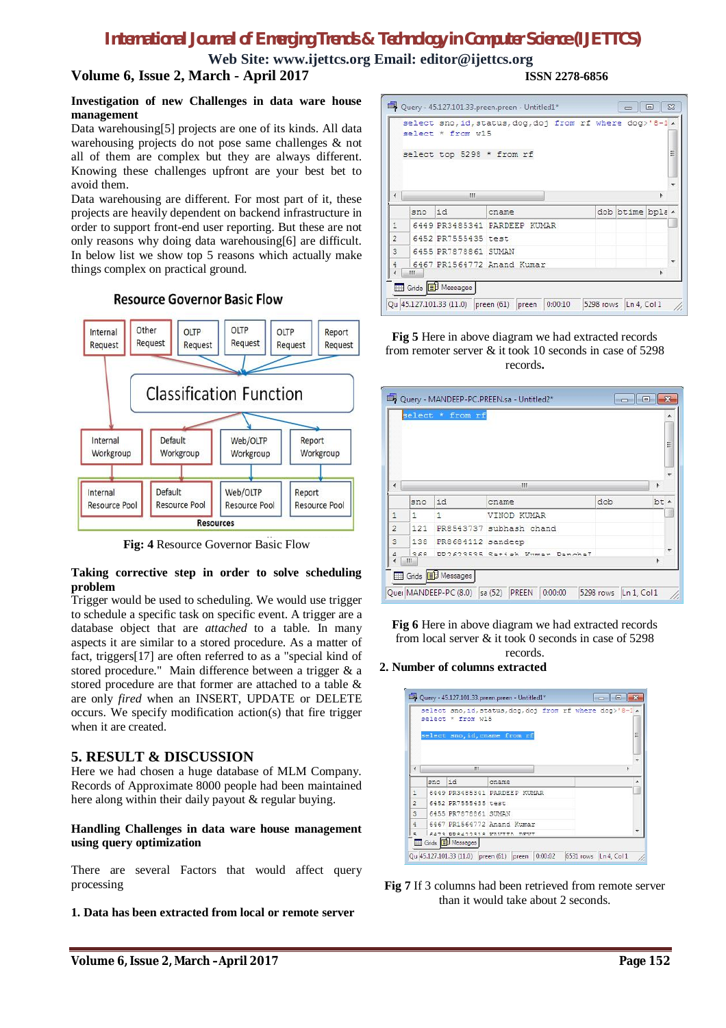# *International Journal of Emerging Trends & Technology in Computer Science (IJETTCS)*

**Web Site: www.ijettcs.org Email: editor@ijettcs.org**

# **Volume 6, Issue 2, March - April 2017 ISSN 2278-6856**

#### **Investigation of new Challenges in data ware house management**

Data warehousing[5] projects are one of its kinds. All data warehousing projects do not pose same challenges & not all of them are complex but they are always different. Knowing these challenges upfront are your best bet to avoid them.

Data warehousing are different. For most part of it, these projects are heavily dependent on backend infrastructure in order to support front-end user reporting. But these are not only reasons why doing data warehousing[6] are difficult. In below list we show top 5 reasons which actually make things complex on practical ground.

## **Resource Governor Basic Flow**



**Fig: 4** Resource Governor Basic Flow

#### **Taking corrective step in order to solve scheduling problem**

Trigger would be used to scheduling. We would use trigger to schedule a specific task on specific event. A trigger are a database object that are *attached* to a table. In many aspects it are similar to a stored procedure. As a matter of fact, triggers[17] are often referred to as a "special kind of stored procedure." Main difference between a trigger & a stored procedure are that former are attached to a table & are only *fired* when an INSERT, UPDATE or DELETE occurs. We specify modification action(s) that fire trigger when it are created.

# **5. RESULT & DISCUSSION**

Here we had chosen a huge database of MLM Company. Records of Approximate 8000 people had been maintained here along within their daily payout & regular buying.

#### **Handling Challenges in data ware house management using query optimization**

There are several Factors that would affect query processing

**1. Data has been extracted from local or remote server**

|                |     | select * from w15         | select sno, id, status, dog, doj from rf where dog>'8-1 x |                  |   |
|----------------|-----|---------------------------|-----------------------------------------------------------|------------------|---|
|                |     | select top 5298 * from rf |                                                           |                  | Ë |
| ٠              |     | Ш                         |                                                           |                  |   |
|                | 300 | id                        | cname                                                     | dob btime bpla - |   |
| 1              |     |                           | 6449 PR3485341 PARDEEP KUMAR                              |                  |   |
| $\overline{2}$ |     | 6452 PR7555435 test       |                                                           |                  |   |
| 3              |     | 6455 PR7878861 SUMAN      |                                                           |                  |   |
| 4              | Ш   |                           | 6467 PR1564772 Anand Kumar                                |                  |   |

#### **Fig 5** Here in above diagram we had extracted records from remoter server & it took 10 seconds in case of 5298 records**.**

|                |                       | select * from rf  |                         |     | ▲      |
|----------------|-----------------------|-------------------|-------------------------|-----|--------|
|                |                       |                   |                         |     | E      |
| ∢              |                       |                   | m                       |     | ٠<br>þ |
|                | sno                   | id                | cname                   | dob | bt A   |
| 1              | $\mathbf{1}$          | 1                 | VINOD KUMAR             |     |        |
| $\overline{2}$ | 121                   |                   | PR8543737 subhash chand |     |        |
| 3              | 138                   | PR8684112 sandeep |                         |     |        |
| $\Delta$       | 360<br>$^{\circ}$ III | DDOSODEDE Cati    | Danghal                 |     |        |

**Fig 6** Here in above diagram we had extracted records from local server & it took 0 seconds in case of 5298 records.

#### **2. Number of columns extracted**

|                |     | select * from w15       | DU Query - 45.127.101.33.preen.preen - Untitled1*<br>select sno, id, status, dog, doj from rf where dog>'8-1. |                       |
|----------------|-----|-------------------------|---------------------------------------------------------------------------------------------------------------|-----------------------|
| ∢              |     | ш                       | select sno, id, cname from rf                                                                                 | Ξ                     |
|                | 300 | id                      | cname                                                                                                         |                       |
| $\mathbf{1}$   |     |                         | 6449 PR3485341 PARDEEP KUMAR                                                                                  |                       |
| $\overline{2}$ |     | 6452 PR7555435 test     |                                                                                                               |                       |
| $\overline{3}$ |     | 6455 PR7878861 SUMAN    |                                                                                                               |                       |
| $\overline{4}$ |     |                         | 6467 PR1564772 Anand Kumar                                                                                    |                       |
| $\equiv$       |     |                         | DD9422919 VAUTTA DEUT                                                                                         |                       |
|                |     | Grids <b>B</b> Messages |                                                                                                               |                       |
|                |     |                         | Qu 45.127.101.33 (11.0) preen (61) preen<br>0:00:02                                                           | 6531 rows Ln 4, Col 1 |

**Fig 7** If 3 columns had been retrieved from remote server than it would take about 2 seconds.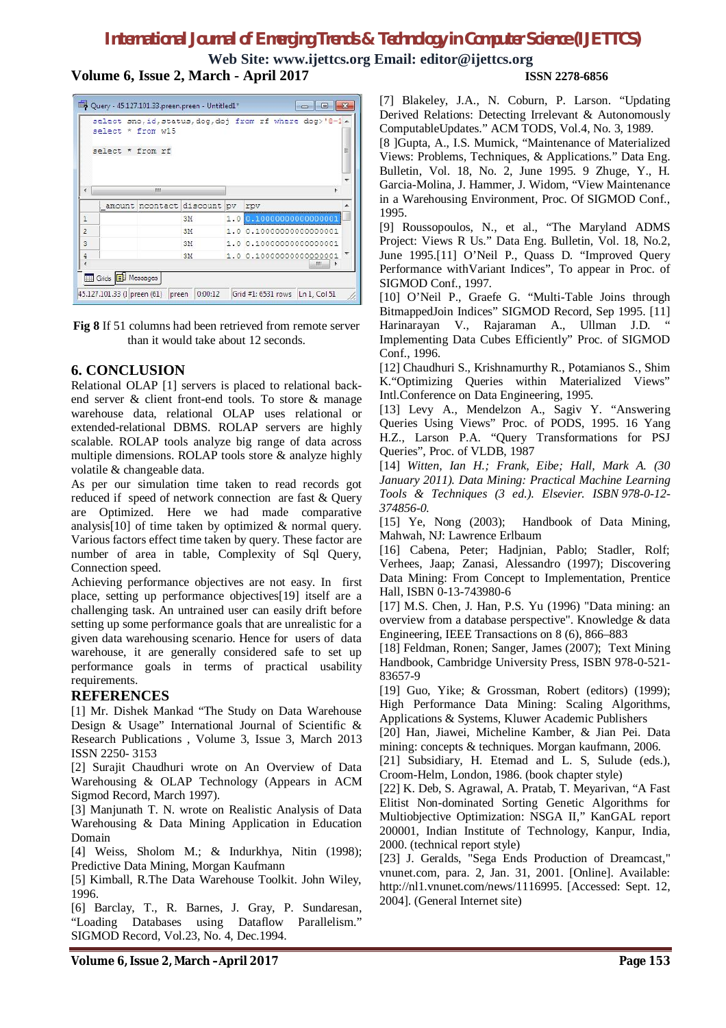# *International Journal of Emerging Trends & Technology in Computer Science (IJETTCS)*

**Web Site: www.ijettcs.org Email: editor@ijettcs.org Volume 6, Issue 2, March - April 2017 ISSN 2278-6856**

Duery - 45.127.101.33.preen.preen - Untitled1\*  $\boxed{\phantom{a}}$ select sno, id, status, dog, doj from rf where dog>'8-1 ^ select \* from w15 select \* from rf E  $\leftarrow$  $\mathbf{m}$ amount noontact discount pv rpv  $\overline{1}$ 3M  $1.0$  $\overline{2}$ 1.0 0.10000000000000001 3M  $\mathbf{3}$ 3M 1.0 0.10000000000000001  $\frac{4}{4}$ 3M  $1.000.10000000000000001$ Grids **B** Messages 45.127.101.33 (1 preen (61) preen 0:00:12 Grid #1: 6531 rows Ln 1, Col 51

**Fig 8** If 51 columns had been retrieved from remote server than it would take about 12 seconds.

# **6. CONCLUSION**

Relational OLAP [1] servers is placed to relational backend server & client front-end tools. To store & manage warehouse data, relational OLAP uses relational or extended-relational DBMS. ROLAP servers are highly scalable. ROLAP tools analyze big range of data across multiple dimensions. ROLAP tools store & analyze highly volatile & changeable data.

As per our simulation time taken to read records got reduced if speed of network connection are fast & Query are Optimized. Here we had made comparative analysis[10] of time taken by optimized & normal query. Various factors effect time taken by query. These factor are number of area in table, Complexity of Sql Query, Connection speed.

Achieving performance objectives are not easy. In first place, setting up performance objectives[19] itself are a challenging task. An untrained user can easily drift before setting up some performance goals that are unrealistic for a given data warehousing scenario. Hence for users of data warehouse, it are generally considered safe to set up performance goals in terms of practical usability requirements.

# **REFERENCES**

[1] Mr. Dishek Mankad "The Study on Data Warehouse Design & Usage" International Journal of Scientific & Research Publications , Volume 3, Issue 3, March 2013 ISSN 2250- 3153

[2] Surajit Chaudhuri wrote on An Overview of Data Warehousing & OLAP Technology (Appears in ACM Sigmod Record, March 1997).

[3] Manjunath T. N. wrote on Realistic Analysis of Data Warehousing & Data Mining Application in Education Domain

[4] Weiss, Sholom M.; & Indurkhya, Nitin (1998); Predictive Data Mining, Morgan Kaufmann

[5] Kimball, R.The Data Warehouse Toolkit. John Wiley, 1996.

[6] Barclay, T., R. Barnes, J. Gray, P. Sundaresan, "Loading Databases using Dataflow Parallelism." SIGMOD Record, Vol.23, No. 4, Dec.1994.

[7] Blakeley, J.A., N. Coburn, P. Larson. "Updating Derived Relations: Detecting Irrelevant & Autonomously ComputableUpdates." ACM TODS, Vol.4, No. 3, 1989.

[8 ]Gupta, A., I.S. Mumick, "Maintenance of Materialized Views: Problems, Techniques, & Applications." Data Eng. Bulletin, Vol. 18, No. 2, June 1995. 9 Zhuge, Y., H. Garcia-Molina, J. Hammer, J. Widom, "View Maintenance in a Warehousing Environment, Proc. Of SIGMOD Conf., 1995.

[9] Roussopoulos, N., et al., "The Maryland ADMS Project: Views R Us." Data Eng. Bulletin, Vol. 18, No.2, June 1995.[11] O'Neil P., Quass D. "Improved Query Performance withVariant Indices", To appear in Proc. of SIGMOD Conf., 1997.

[10] O'Neil P., Graefe G. "Multi-Table Joins through BitmappedJoin Indices" SIGMOD Record, Sep 1995. [11] Harinarayan V., Rajaraman A., Ullman J.D. " Implementing Data Cubes Efficiently" Proc. of SIGMOD Conf., 1996.

[12] Chaudhuri S., Krishnamurthy R., Potamianos S., Shim K."Optimizing Queries within Materialized Views" Intl.Conference on Data Engineering, 1995.

[13] Levy A., Mendelzon A., Sagiv Y. "Answering Queries Using Views" Proc. of PODS, 1995. 16 Yang H.Z., Larson P.A. "Query Transformations for PSJ Queries", Proc. of VLDB, 1987

[14] *Witten, Ian H.; Frank, Eibe; Hall, Mark A. (30 January 2011). Data Mining: Practical Machine Learning Tools & Techniques (3 ed.). Elsevier. ISBN 978-0-12- 374856-0.*

[15] Ye, Nong (2003); Handbook of Data Mining, Mahwah, NJ: Lawrence Erlbaum

[16] Cabena, Peter; Hadjnian, Pablo; Stadler, Rolf; Verhees, Jaap; Zanasi, Alessandro (1997); Discovering Data Mining: From Concept to Implementation, Prentice Hall, ISBN 0-13-743980-6

[17] M.S. Chen, J. Han, P.S. Yu (1996) "Data mining: an overview from a database perspective". Knowledge & data Engineering, IEEE Transactions on 8 (6), 866–883

[18] Feldman, Ronen; Sanger, James (2007); Text Mining Handbook, Cambridge University Press, ISBN 978-0-521- 83657-9

[19] Guo, Yike; & Grossman, Robert (editors) (1999); High Performance Data Mining: Scaling Algorithms, Applications & Systems, Kluwer Academic Publishers

[20] Han, Jiawei, Micheline Kamber, & Jian Pei. Data mining: concepts & techniques. Morgan kaufmann, 2006.

[21] Subsidiary, H. Etemad and L. S, Sulude (eds.), Croom-Helm, London, 1986. (book chapter style)

[22] K. Deb, S. Agrawal, A. Pratab, T. Meyarivan, "A Fast Elitist Non-dominated Sorting Genetic Algorithms for Multiobjective Optimization: NSGA II," KanGAL report 200001, Indian Institute of Technology, Kanpur, India, 2000. (technical report style)

[23] J. Geralds, "Sega Ends Production of Dreamcast," vnunet.com, para. 2, Jan. 31, 2001. [Online]. Available: http://nl1.vnunet.com/news/1116995. [Accessed: Sept. 12, 2004]. (General Internet site)